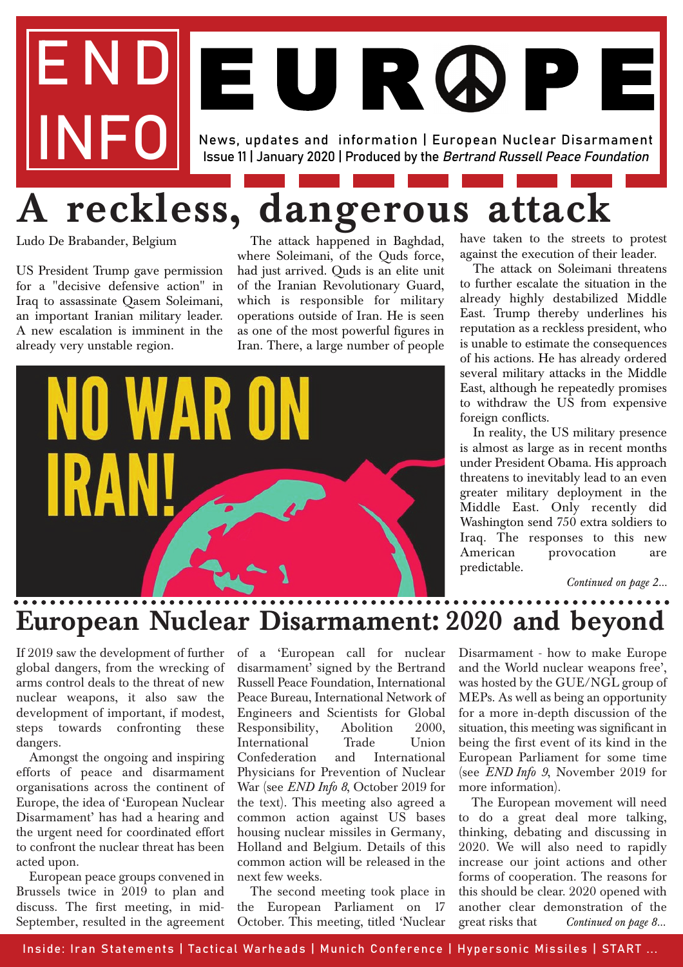# END News, updates and information | European Nuclear Disarmament Issue 11 | January 2020 | Produced by the Bertrand Russell Peace Foundation EUR ØP E

# **A reckless, dangerous attack**

Ludo De Brabander, Belgium

US President Trump gave permission for a "decisive defensive action" in Iraq to assassinate Qasem Soleimani, an important Iranian military leader. A new escalation is imminent in the already very unstable region.

The attack happened in Baghdad, where Soleimani, of the Quds force, had just arrived. Quds is an elite unit of the Iranian Revolutionary Guard, which is responsible for military operations outside of Iran. He is seen as one of the most powerful figures in Iran. There, a large number of people



have taken to the streets to protest against the execution of their leader.

The attack on Soleimani threatens to further escalate the situation in the already highly destabilized Middle East. Trump thereby underlines his reputation as a reckless president, who is unable to estimate the consequences of his actions. He has already ordered several military attacks in the Middle East, although he repeatedly promises to withdraw the US from expensive foreign conflicts.

In reality, the US military presence is almost as large as in recent months under President Obama. His approach threatens to inevitably lead to an even greater military deployment in the Middle East. Only recently did Washington send 750 extra soldiers to Iraq. The responses to this new American provocation are predictable.

*Continued on page 2...*

### **European Nuclear Disarmament: 2020 and beyond**

If 2019 saw the development of further global dangers, from the wrecking of arms control deals to the threat of new nuclear weapons, it also saw the development of important, if modest, steps towards confronting these dangers.

Amongst the ongoing and inspiring efforts of peace and disarmament organisations across the continent of Europe, the idea of 'European Nuclear Disarmament' has had a hearing and the urgent need for coordinated effort to confront the nuclear threat has been acted upon.

European peace groups convened in Brussels twice in 2019 to plan and discuss. The first meeting, in mid-September, resulted in the agreement of a 'European call for nuclear disarmament' signed by the Bertrand Russell Peace Foundation, International Peace Bureau, International Network of Engineers and Scientists for Global Responsibility, Abolition 2000, International Trade Union Confederation and International Physicians for Prevention of Nuclear War (see *END Info 8*, October 2019 for the text). This meeting also agreed a common action against US bases housing nuclear missiles in Germany, Holland and Belgium. Details of this common action will be released in the next few weeks.

The second meeting took place in the European Parliament on 17 October. This meeting, titled 'Nuclear Disarmament - how to make Europe and the World nuclear weapons free', was hosted by the GUE/NGL group of MEPs. As well as being an opportunity for a more in-depth discussion of the situation, this meeting was significant in being the first event of its kind in the European Parliament for some time (see *END Info 9*, November 2019 for more information).

The European movement will need to do a great deal more talking, thinking, debating and discussing in 2020. We will also need to rapidly increase our joint actions and other forms of cooperation. The reasons for this should be clear. 2020 opened with another clear demonstration of the great risks that *Continued on page 8...*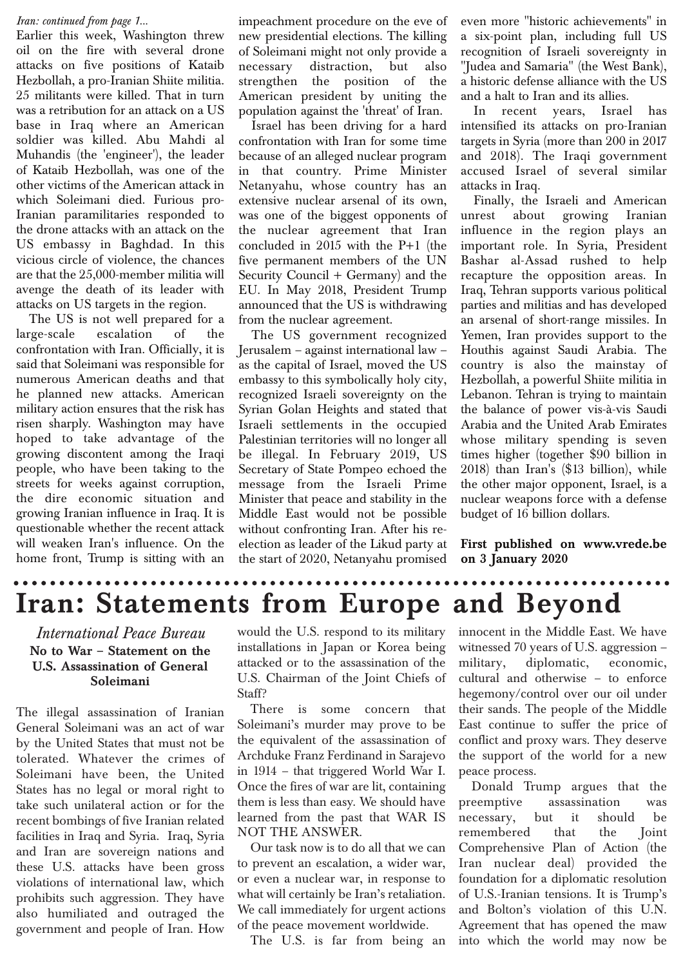#### *Iran: continued from page 1...*

Earlier this week, Washington threw oil on the fire with several drone attacks on five positions of Kataib Hezbollah, a pro-Iranian Shiite militia. 25 militants were killed. That in turn was a retribution for an attack on a US base in Iraq where an American soldier was killed. Abu Mahdi al Muhandis (the 'engineer'), the leader of Kataib Hezbollah, was one of the other victims of the American attack in which Soleimani died. Furious pro-Iranian paramilitaries responded to the drone attacks with an attack on the US embassy in Baghdad. In this vicious circle of violence, the chances are that the 25,000-member militia will avenge the death of its leader with attacks on US targets in the region.

The US is not well prepared for a large-scale escalation of the confrontation with Iran. Officially, it is said that Soleimani was responsible for numerous American deaths and that he planned new attacks. American military action ensures that the risk has risen sharply. Washington may have hoped to take advantage of the growing discontent among the Iraqi people, who have been taking to the streets for weeks against corruption, the dire economic situation and growing Iranian influence in Iraq. It is questionable whether the recent attack will weaken Iran's influence. On the home front, Trump is sitting with an impeachment procedure on the eve of new presidential elections. The killing of Soleimani might not only provide a necessary distraction, but also strengthen the position of the American president by uniting the population against the 'threat' of Iran.

Israel has been driving for a hard confrontation with Iran for some time because of an alleged nuclear program in that country. Prime Minister Netanyahu, whose country has an extensive nuclear arsenal of its own, was one of the biggest opponents of the nuclear agreement that Iran concluded in 2015 with the P+1 (the five permanent members of the UN Security Council + Germany) and the EU. In May 2018, President Trump announced that the US is withdrawing from the nuclear agreement.

The US government recognized Jerusalem – against international law – as the capital of Israel, moved the US embassy to this symbolically holy city, recognized Israeli sovereignty on the Syrian Golan Heights and stated that Israeli settlements in the occupied Palestinian territories will no longer all be illegal. In February 2019, US Secretary of State Pompeo echoed the message from the Israeli Prime Minister that peace and stability in the Middle East would not be possible without confronting Iran. After his reelection as leader of the Likud party at the start of 2020, Netanyahu promised even more "historic achievements" in a six-point plan, including full US recognition of Israeli sovereignty in "Judea and Samaria" (the West Bank), a historic defense alliance with the US and a halt to Iran and its allies.

In recent years, Israel has intensified its attacks on pro-Iranian targets in Syria (more than 200 in 2017 and 2018). The Iraqi government accused Israel of several similar attacks in Iraq.

Finally, the Israeli and American unrest about growing Iranian influence in the region plays an important role. In Syria, President Bashar al-Assad rushed to help recapture the opposition areas. In Iraq, Tehran supports various political parties and militias and has developed an arsenal of short-range missiles. In Yemen, Iran provides support to the Houthis against Saudi Arabia. The country is also the mainstay of Hezbollah, a powerful Shiite militia in Lebanon. Tehran is trying to maintain the balance of power vis-à-vis Saudi Arabia and the United Arab Emirates whose military spending is seven times higher (together \$90 billion in 2018) than Iran's (\$13 billion), while the other major opponent, Israel, is a nuclear weapons force with a defense budget of 16 billion dollars.

**First published on www.vrede.be on 3 January 2020**

## **Iran: Statements from Europe and Beyond**

#### *International Peace Bureau* **No to War – Statement on the U.S. Assassination of General Soleimani**

The illegal assassination of Iranian General Soleimani was an act of war by the United States that must not be tolerated. Whatever the crimes of Soleimani have been, the United States has no legal or moral right to take such unilateral action or for the recent bombings of five Iranian related facilities in Iraq and Syria. Iraq, Syria and Iran are sovereign nations and these U.S. attacks have been gross violations of international law, which prohibits such aggression. They have also humiliated and outraged the government and people of Iran. How

would the U.S. respond to its military installations in Japan or Korea being attacked or to the assassination of the U.S. Chairman of the Joint Chiefs of Staff?

There is some concern that Soleimani's murder may prove to be the equivalent of the assassination of Archduke Franz Ferdinand in Sarajevo in 1914 – that triggered World War I. Once the fires of war are lit, containing them is less than easy. We should have learned from the past that WAR IS NOT THE ANSWER.

Our task now is to do all that we can to prevent an escalation, a wider war, or even a nuclear war, in response to what will certainly be Iran's retaliation. We call immediately for urgent actions of the peace movement worldwide.

The U.S. is far from being an

innocent in the Middle East. We have witnessed 70 years of U.S. aggression – military, diplomatic, economic, cultural and otherwise – to enforce hegemony/control over our oil under their sands. The people of the Middle East continue to suffer the price of conflict and proxy wars. They deserve the support of the world for a new peace process.

Donald Trump argues that the preemptive assassination was necessary, but it should be remembered that the Joint Comprehensive Plan of Action (the Iran nuclear deal) provided the foundation for a diplomatic resolution of U.S.-Iranian tensions. It is Trump's and Bolton's violation of this U.N. Agreement that has opened the maw into which the world may now be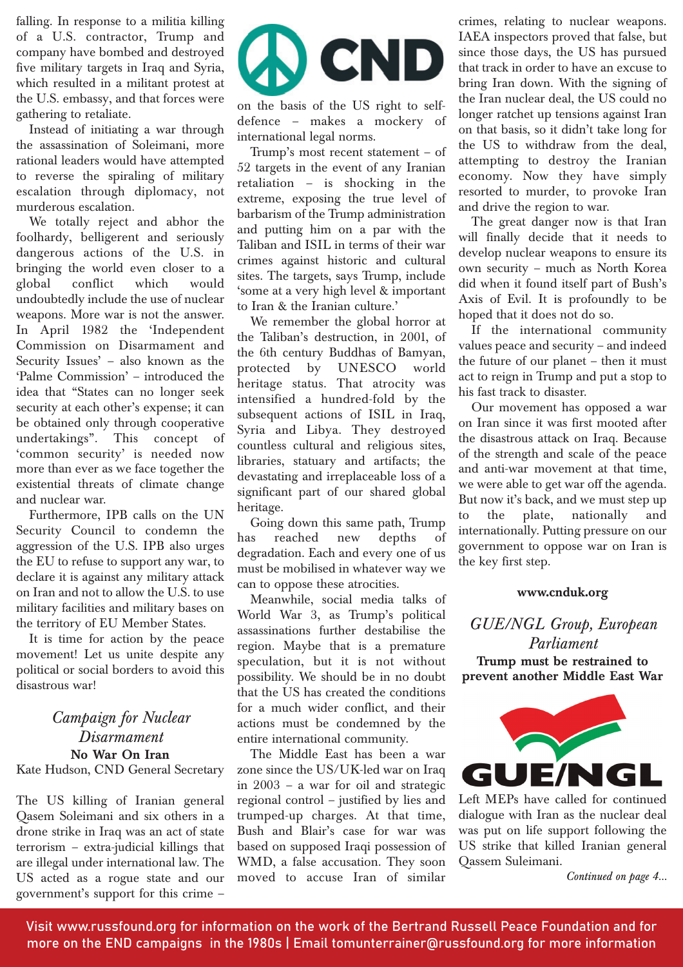falling. In response to a militia killing of a U.S. contractor, Trump and company have bombed and destroyed five military targets in Iraq and Syria, which resulted in a militant protest at the U.S. embassy, and that forces were gathering to retaliate.

Instead of initiating a war through the assassination of Soleimani, more rational leaders would have attempted to reverse the spiraling of military escalation through diplomacy, not murderous escalation.

We totally reject and abhor the foolhardy, belligerent and seriously dangerous actions of the U.S. in bringing the world even closer to a global conflict which would undoubtedly include the use of nuclear weapons. More war is not the answer. In April 1982 the 'Independent Commission on Disarmament and Security Issues' – also known as the 'Palme Commission' – introduced the idea that "States can no longer seek security at each other's expense; it can be obtained only through cooperative undertakings". This concept of 'common security' is needed now more than ever as we face together the existential threats of climate change and nuclear war.

Furthermore, IPB calls on the UN Security Council to condemn the aggression of the U.S. IPB also urges the EU to refuse to support any war, to declare it is against any military attack on Iran and not to allow the U.S. to use military facilities and military bases on the territory of EU Member States.

It is time for action by the peace movement! Let us unite despite any political or social borders to avoid this disastrous war!

#### *Campaign for Nuclear Disarmament* **No War On Iran**

#### Kate Hudson, CND General Secretary

The US killing of Iranian general Qasem Soleimani and six others in a drone strike in Iraq was an act of state terrorism – extra-judicial killings that are illegal under international law. The US acted as a rogue state and our government's support for this crime –



on the basis of the US right to selfdefence – makes a mockery of international legal norms.

Trump's most recent statement – of 52 targets in the event of any Iranian retaliation – is shocking in the extreme, exposing the true level of barbarism of the Trump administration and putting him on a par with the Taliban and ISIL in terms of their war crimes against historic and cultural sites. The targets, says Trump, include 'some at a very high level & important to Iran & the Iranian culture.'

We remember the global horror at the Taliban's destruction, in 2001, of the 6th century Buddhas of Bamyan, protected by UNESCO world heritage status. That atrocity was intensified a hundred-fold by the subsequent actions of ISIL in Iraq, Syria and Libya. They destroyed countless cultural and religious sites, libraries, statuary and artifacts; the devastating and irreplaceable loss of a significant part of our shared global heritage.

Going down this same path, Trump has reached new depths of degradation. Each and every one of us must be mobilised in whatever way we can to oppose these atrocities.

Meanwhile, social media talks of World War 3, as Trump's political assassinations further destabilise the region. Maybe that is a premature speculation, but it is not without possibility. We should be in no doubt that the US has created the conditions for a much wider conflict, and their actions must be condemned by the entire international community.

The Middle East has been a war zone since the US/UK-led war on Iraq in 2003 – a war for oil and strategic regional control – justified by lies and trumped-up charges. At that time, Bush and Blair's case for war was based on supposed Iraqi possession of WMD, a false accusation. They soon moved to accuse Iran of similar

crimes, relating to nuclear weapons. IAEA inspectors proved that false, but since those days, the US has pursued that track in order to have an excuse to bring Iran down. With the signing of the Iran nuclear deal, the US could no longer ratchet up tensions against Iran on that basis, so it didn't take long for the US to withdraw from the deal, attempting to destroy the Iranian economy. Now they have simply resorted to murder, to provoke Iran and drive the region to war.

The great danger now is that Iran will finally decide that it needs to develop nuclear weapons to ensure its own security – much as North Korea did when it found itself part of Bush's Axis of Evil. It is profoundly to be hoped that it does not do so.

If the international community values peace and security – and indeed the future of our planet – then it must act to reign in Trump and put a stop to his fast track to disaster.

Our movement has opposed a war on Iran since it was first mooted after the disastrous attack on Iraq. Because of the strength and scale of the peace and anti-war movement at that time, we were able to get war off the agenda. But now it's back, and we must step up to the plate, nationally and internationally. Putting pressure on our government to oppose war on Iran is the key first step.

#### **www.cnduk.org**

*GUE/NGL Group, European Parliament* **Trump must be restrained to prevent another Middle East War**



Left MEPs have called for continued dialogue with Iran as the nuclear deal was put on life support following the US strike that killed Iranian general Qassem Suleimani.

*Continued on page 4...*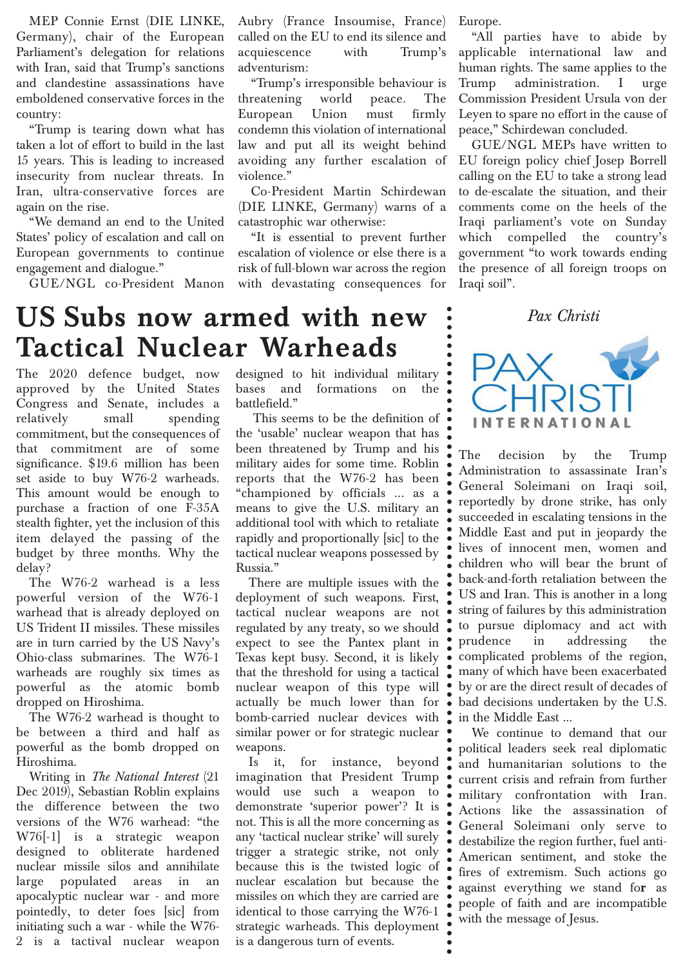MEP Connie Ernst (DIE LINKE, Germany), chair of the European Parliament's delegation for relations with Iran, said that Trump's sanctions and clandestine assassinations have emboldened conservative forces in the country:

"Trump is tearing down what has taken a lot of effort to build in the last 15 years. This is leading to increased insecurity from nuclear threats. In Iran, ultra-conservative forces are again on the rise.

"We demand an end to the United States' policy of escalation and call on European governments to continue engagement and dialogue."

GUE/NGL co-President Manon

Aubry (France Insoumise, France) called on the EU to end its silence and acquiescence with Trump's adventurism:

"Trump's irresponsible behaviour is threatening world peace. The European Union must firmly condemn this violation of international law and put all its weight behind avoiding any further escalation of violence."

Co-President Martin Schirdewan (DIE LINKE, Germany) warns of a catastrophic war otherwise:

"It is essential to prevent further escalation of violence or else there is a risk of full-blown war across the region with devastating consequences for Europe.

"All parties have to abide by applicable international law and human rights. The same applies to the Trump administration. I urge Commission President Ursula von der Leyen to spare no effort in the cause of peace," Schirdewan concluded.

GUE/NGL MEPs have written to EU foreign policy chief Josep Borrell calling on the EU to take a strong lead to de-escalate the situation, and their comments come on the heels of the Iraqi parliament's vote on Sunday which compelled the country's government "to work towards ending the presence of all foreign troops on Iraqi soil".

#### *Pax Christi*

### **US Subs now armed with new Tactical Nuclear Warheads**

The 2020 defence budget, now approved by the United States Congress and Senate, includes a relatively small spending commitment, but the consequences of that commitment are of some significance. \$19.6 million has been set aside to buy W76-2 warheads. This amount would be enough to purchase a fraction of one F-35A stealth fighter, yet the inclusion of this item delayed the passing of the budget by three months. Why the delay?

The W76-2 warhead is a less powerful version of the W76-1 warhead that is already deployed on US Trident II missiles. These missiles are in turn carried by the US Navy's Ohio-class submarines. The W76-1 warheads are roughly six times as powerful as the atomic bomb dropped on Hiroshima.

The W76-2 warhead is thought to be between a third and half as powerful as the bomb dropped on Hiroshima.

Writing in *The National Interest* (21 Dec 2019), Sebastian Roblin explains the difference between the two versions of the W76 warhead: "the W76[-1] is a strategic weapon designed to obliterate hardened nuclear missile silos and annihilate large populated areas in an apocalyptic nuclear war - and more pointedly, to deter foes [sic] from initiating such a war - while the W76- 2 is a tactival nuclear weapon

designed to hit individual military bases and formations on the battlefield."

This seems to be the definition of the 'usable' nuclear weapon that has been threatened by Trump and his military aides for some time. Roblin reports that the W76-2 has been "championed by officials ... as a means to give the U.S. military an additional tool with which to retaliate rapidly and proportionally [sic] to the tactical nuclear weapons possessed by Russia."

There are multiple issues with the deployment of such weapons. First, tactical nuclear weapons are not regulated by any treaty, so we should expect to see the Pantex plant in Texas kept busy. Second, it is likely that the threshold for using a tactical nuclear weapon of this type will actually be much lower than for bomb-carried nuclear devices with similar power or for strategic nuclear weapons.

Is it, for instance, beyond imagination that President Trump would use such a weapon to demonstrate 'superior power'? It is not. This is all the more concerning as any 'tactical nuclear strike' will surely trigger a strategic strike, not only because this is the twisted logic of nuclear escalation but because the missiles on which they are carried are identical to those carrying the W76-1 strategic warheads. This deployment is a dangerous turn of events.



The decision by the Trump Administration to assassinate Iran's General Soleimani on Iraqi soil, reportedly by drone strike, has only succeeded in escalating tensions in the Middle East and put in jeopardy the lives of innocent men, women and children who will bear the brunt of back-and-forth retaliation between the US and Iran. This is another in a long string of failures by this administration to pursue diplomacy and act with prudence in addressing the complicated problems of the region, many of which have been exacerbated by or are the direct result of decades of bad decisions undertaken by the U.S. in the Middle East ...

We continue to demand that our political leaders seek real diplomatic and humanitarian solutions to the current crisis and refrain from further military confrontation with Iran. Actions like the assassination of General Soleimani only serve to destabilize the region further, fuel anti-American sentiment, and stoke the fires of extremism. Such actions go against everything we stand fo**r** as people of faith and are incompatible with the message of Jesus.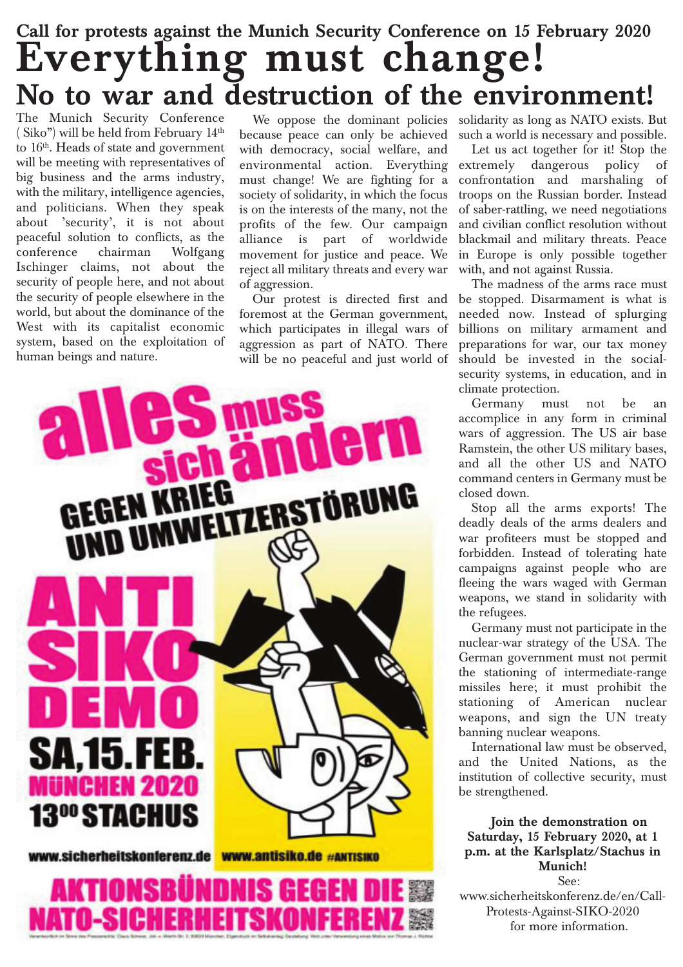### **Call for protests against the Munich Security Conference on 15 February 2020 Everything must change! No to war and destruction of the environment!**

The Munich Security Conference ( Siko") will be held from February 14th to 16<sup>th</sup>. Heads of state and government will be meeting with representatives of big business and the arms industry, with the military, intelligence agencies, and politicians. When they speak about 'security', it is not about peaceful solution to conflicts, as the conference chairman Wolfgang Ischinger claims, not about the security of people here, and not about the security of people elsewhere in the world, but about the dominance of the West with its capitalist economic system, based on the exploitation of human beings and nature.

because peace can only be achieved with democracy, social welfare, and environmental action. Everything must change! We are fighting for a society of solidarity, in which the focus is on the interests of the many, not the profits of the few. Our campaign alliance is part of worldwide movement for justice and peace. We reject all military threats and every war of aggression.

Our protest is directed first and foremost at the German government, which participates in illegal wars of aggression as part of NATO. There will be no peaceful and just world of



We oppose the dominant policies solidarity as long as NATO exists. But such a world is necessary and possible.

Let us act together for it! Stop the extremely dangerous policy of confrontation and marshaling of troops on the Russian border. Instead of saber-rattling, we need negotiations and civilian conflict resolution without blackmail and military threats. Peace in Europe is only possible together with, and not against Russia.

The madness of the arms race must be stopped. Disarmament is what is needed now. Instead of splurging billions on military armament and preparations for war, our tax money should be invested in the socialsecurity systems, in education, and in climate protection.

Germany must not be an accomplice in any form in criminal wars of aggression. The US air base Ramstein, the other US military bases, and all the other US and NATO command centers in Germany must be closed down.

Stop all the arms exports! The deadly deals of the arms dealers and war profiteers must be stopped and forbidden. Instead of tolerating hate campaigns against people who are fleeing the wars waged with German weapons, we stand in solidarity with the refugees.

Germany must not participate in the nuclear-war strategy of the USA. The German government must not permit the stationing of intermediate-range missiles here; it must prohibit the stationing of American nuclear weapons, and sign the UN treaty banning nuclear weapons.

International law must be observed, and the United Nations, as the institution of collective security, must be strengthened.

**Join the demonstration on Saturday, 15 February 2020, at 1 p.m. at the Karlsplatz/Stachus in Munich!** See:

www.sicherheitskonferenz.de/en/Call-Protests-Against-SIKO-2020 for more information.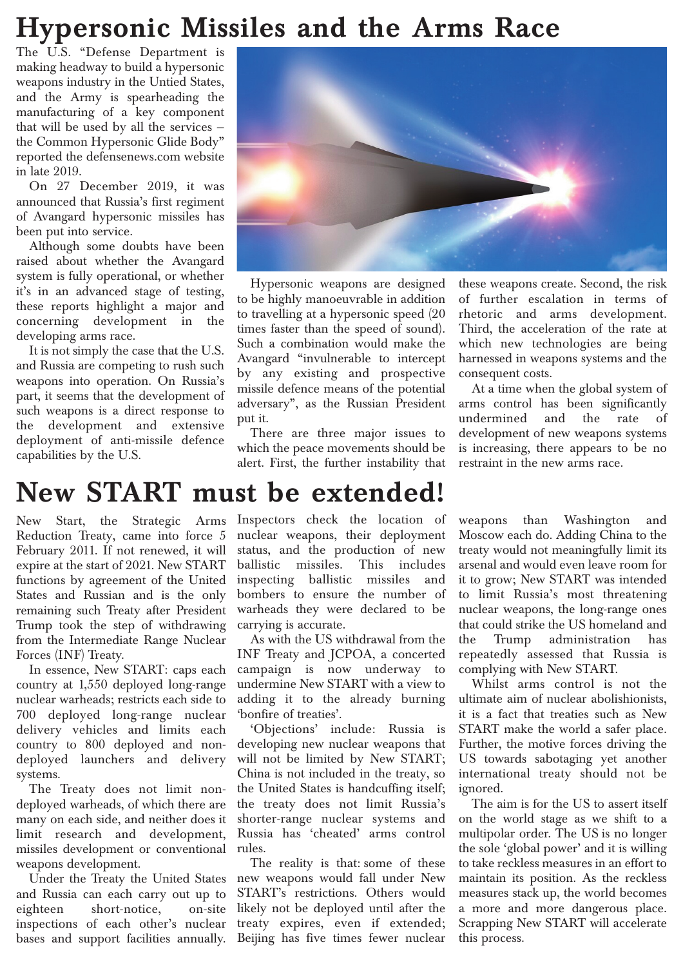### **Hypersonic Missiles and the Arms Race**

The U.S. "Defense Department is making headway to build a hypersonic weapons industry in the Untied States, and the Army is spearheading the manufacturing of a key component that will be used by all the services the Common Hypersonic Glide Body" reported the defensenews.com website in late 2019.

On 27 December 2019, it was announced that Russia's first regiment of Avangard hypersonic missiles has been put into service.

Although some doubts have been raised about whether the Avangard system is fully operational, or whether it's in an advanced stage of testing, these reports highlight a major and concerning development in the developing arms race.

It is not simply the case that the U.S. and Russia are competing to rush such weapons into operation. On Russia's part, it seems that the development of such weapons is a direct response to the development and extensive deployment of anti-missile defence capabilities by the U.S.



Hypersonic weapons are designed to be highly manoeuvrable in addition to travelling at a hypersonic speed (20 times faster than the speed of sound). Such a combination would make the Avangard "invulnerable to intercept by any existing and prospective missile defence means of the potential adversary", as the Russian President put it.

There are three major issues to which the peace movements should be alert. First, the further instability that these weapons create. Second, the risk of further escalation in terms of rhetoric and arms development. Third, the acceleration of the rate at which new technologies are being harnessed in weapons systems and the consequent costs.

At a time when the global system of arms control has been significantly undermined and the rate of development of new weapons systems is increasing, there appears to be no restraint in the new arms race.

### **New START must be extended!**

New Start, the Strategic Arms Reduction Treaty, came into force 5 February 2011. If not renewed, it will expire at the start of 2021. New START functions by agreement of the United States and Russian and is the only remaining such Treaty after President Trump took the step of withdrawing from the Intermediate Range Nuclear Forces (INF) Treaty.

In essence, New START: caps each country at 1,550 deployed long-range nuclear warheads; restricts each side to 700 deployed long-range nuclear delivery vehicles and limits each country to 800 deployed and nondeployed launchers and delivery systems.

The Treaty does not limit nondeployed warheads, of which there are many on each side, and neither does it limit research and development, missiles development or conventional weapons development.

Under the Treaty the United States and Russia can each carry out up to eighteen short-notice, on-site inspections of each other's nuclear bases and support facilities annually.

Inspectors check the location of nuclear weapons, their deployment status, and the production of new ballistic missiles. This includes inspecting ballistic missiles and bombers to ensure the number of warheads they were declared to be carrying is accurate.

As with the US withdrawal from the INF Treaty and JCPOA, a concerted campaign is now underway to undermine New START with a view to adding it to the already burning 'bonfire of treaties'.

'Objections' include: Russia is developing new nuclear weapons that will not be limited by New START; China is not included in the treaty, so the United States is handcuffing itself; the treaty does not limit Russia's shorter-range nuclear systems and Russia has 'cheated' arms control rules.

The reality is that: some of these new weapons would fall under New START's restrictions. Others would likely not be deployed until after the treaty expires, even if extended; Beijing has five times fewer nuclear weapons than Washington and Moscow each do. Adding China to the treaty would not meaningfully limit its arsenal and would even leave room for it to grow; New START was intended to limit Russia's most threatening nuclear weapons, the long-range ones that could strike the US homeland and the Trump administration has repeatedly assessed that Russia is complying with New START.

Whilst arms control is not the ultimate aim of nuclear abolishionists, it is a fact that treaties such as New START make the world a safer place. Further, the motive forces driving the US towards sabotaging yet another international treaty should not be ignored.

The aim is for the US to assert itself on the world stage as we shift to a multipolar order. The US is no longer the sole 'global power' and it is willing to take reckless measures in an effort to maintain its position. As the reckless measures stack up, the world becomes a more and more dangerous place. Scrapping New START will accelerate this process.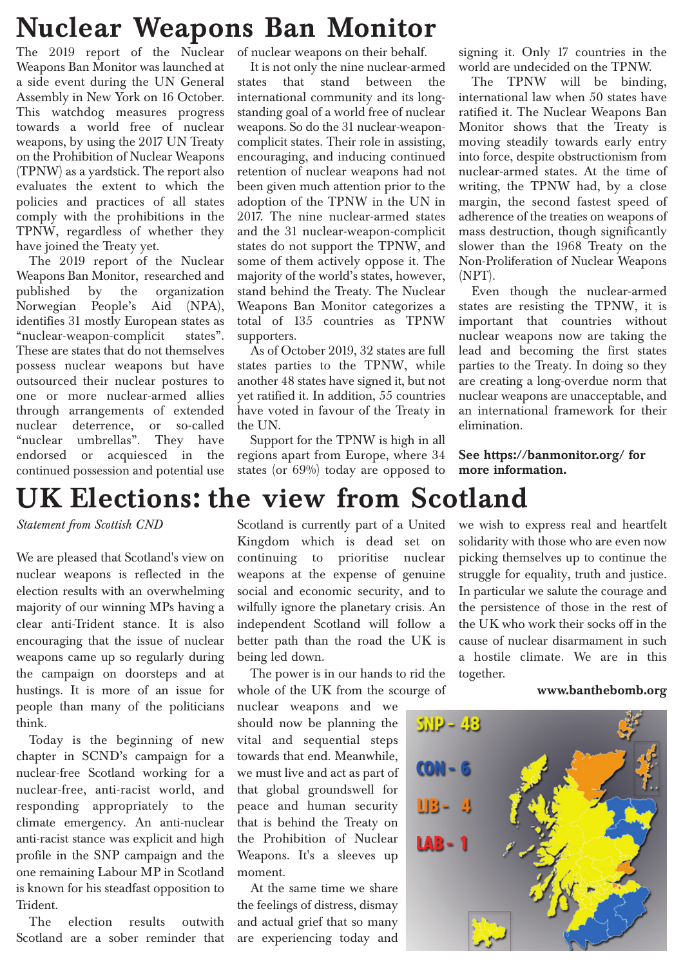### **Nuclear Weapons Ban Monitor**

The 2019 report of the Nuclear Weapons Ban Monitor was launched at a side event during the UN General Assembly in New York on 16 October. This watchdog measures progress towards a world free of nuclear weapons, by using the 2017 UN Treaty on the Prohibition of Nuclear Weapons (TPNW) as a yardstick. The report also evaluates the extent to which the policies and practices of all states comply with the prohibitions in the TPNW, regardless of whether they have joined the Treaty yet.

The 2019 report of the Nuclear Weapons Ban Monitor, researched and published by the organization Norwegian People's Aid (NPA), identifies 31 mostly European states as "nuclear-weapon-complicit states". These are states that do not themselves possess nuclear weapons but have outsourced their nuclear postures to one or more nuclear-armed allies through arrangements of extended nuclear deterrence, or so-called "nuclear umbrellas". They have endorsed or acquiesced in the continued possession and potential use

of nuclear weapons on their behalf.

It is not only the nine nuclear-armed states that stand between the international community and its longstanding goal of a world free of nuclear weapons. So do the 31 nuclear-weaponcomplicit states. Their role in assisting, encouraging, and inducing continued retention of nuclear weapons had not been given much attention prior to the adoption of the TPNW in the UN in 2017. The nine nuclear-armed states and the 31 nuclear-weapon-complicit states do not support the TPNW, and some of them actively oppose it. The majority of the world's states, however, stand behind the Treaty. The Nuclear Weapons Ban Monitor categorizes a total of 135 countries as TPNW supporters.

As of October 2019, 32 states are full states parties to the TPNW, while another 48 states have signed it, but not yet ratified it. In addition, 55 countries have voted in favour of the Treaty in the UN.

Support for the TPNW is high in all regions apart from Europe, where 34 states (or 69%) today are opposed to signing it. Only 17 countries in the world are undecided on the TPNW.

The TPNW will be binding, international law when 50 states have ratified it. The Nuclear Weapons Ban Monitor shows that the Treaty is moving steadily towards early entry into force, despite obstructionism from nuclear-armed states. At the time of writing, the TPNW had, by a close margin, the second fastest speed of adherence of the treaties on weapons of mass destruction, though significantly slower than the 1968 Treaty on the Non-Proliferation of Nuclear Weapons (NPT).

Even though the nuclear-armed states are resisting the TPNW, it is important that countries without nuclear weapons now are taking the lead and becoming the first states parties to the Treaty. In doing so they are creating a long-overdue norm that nuclear weapons are unacceptable, and an international framework for their elimination.

**See https://banmonitor.org/ for more information.** 

### **UK Elections: the view from Scotland**

*Statement from Scottish CND*

We are pleased that Scotland's view on nuclear weapons is reflected in the election results with an overwhelming majority of our winning MPs having a clear anti-Trident stance. It is also encouraging that the issue of nuclear weapons came up so regularly during the campaign on doorsteps and at hustings. It is more of an issue for people than many of the politicians think.

Today is the beginning of new chapter in SCND's campaign for a nuclear-free Scotland working for a nuclear-free, anti-racist world, and responding appropriately to the climate emergency. An anti-nuclear anti-racist stance was explicit and high profile in the SNP campaign and the one remaining Labour MP in Scotland is known for his steadfast opposition to Trident.

The election results outwith Scotland are a sober reminder that Scotland is currently part of a United Kingdom which is dead set on continuing to prioritise nuclear weapons at the expense of genuine social and economic security, and to wilfully ignore the planetary crisis. An independent Scotland will follow a better path than the road the UK is being led down.

The power is in our hands to rid the whole of the UK from the scourge of

nuclear weapons and we should now be planning the vital and sequential steps towards that end. Meanwhile, we must live and act as part of that global groundswell for peace and human security that is behind the Treaty on the Prohibition of Nuclear Weapons. It's a sleeves up moment.

At the same time we share the feelings of distress, dismay and actual grief that so many are experiencing today and we wish to express real and heartfelt solidarity with those who are even now picking themselves up to continue the struggle for equality, truth and justice. In particular we salute the courage and the persistence of those in the rest of the UK who work their socks off in the cause of nuclear disarmament in such a hostile climate. We are in this together.

#### **www.banthebomb.org**